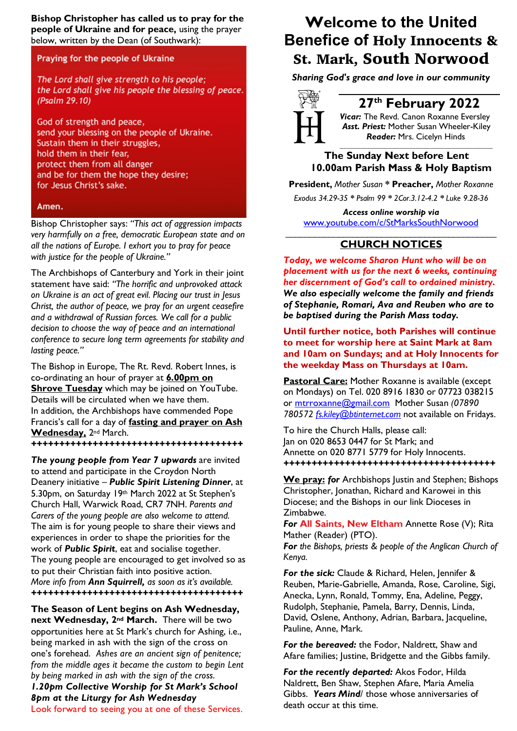**Bishop Christopher has called us to pray for the people of Ukraine and for peace,** using the prayer below, written by the Dean (of Southwark):

## Praying for the people of Ukraine

The Lord shall give strength to his people; the Lord shall give his people the blessing of peace. (Psalm 29.10)

God of strength and peace, send your blessing on the people of Ukraine. Sustain them in their struggles, hold them in their fear, protect them from all danger and be for them the hope they desire; for Jesus Christ's sake.

#### Amen.

Bishop Christopher says: *"This act of aggression impacts very harmfully on a free, democratic European state and on all the nations of Europe. I exhort you to pray for peace with justice for the people of Ukraine."*

The Archbishops of Canterbury and York in their joint statement have said: *"The horrific and unprovoked attack on Ukraine is an act of great evil. Placing our trust in Jesus Christ, the author of peace, we pray for an urgent ceasefire and a withdrawal of Russian forces. We call for a public decision to choose the way of peace and an international conference to secure long term agreements for stability and lasting peace."*

The Bishop in Europe, The Rt. Revd. Robert Innes, is co-ordinating an hour of prayer at **6.00pm on Shrove Tuesday** which may be joined on YouTube. Details will be circulated when we have them. In addition, the Archbishops have commended Pope Francis's call for a day of **fasting and prayer on Ash Wednesday,** 2nd March.

*++++++++++++++++++++++++++++++++++++++*

*The young people from Year 7 upwards* are invited to attend and participate in the Croydon North Deanery initiative – *Public Spirit Listening Dinner*, at 5.30pm, on Saturday 19th March 2022 at St Stephen's Church Hall, Warwick Road, CR7 7NH. *Parents and Carers of the young people are also welcome to attend.* The aim is for young people to share their views and experiences in order to shape the priorities for the work of *Public Spirit*, eat and socialise together. The young people are encouraged to get involved so as to put their Christian faith into positive action. *More info from Ann Squirrell, as soon as it's available. ++++++++++++++++++++++++++++++++++++++*

**The Season of Lent begins on Ash Wednesday, next Wednesday, 2nd March.** There will be two opportunities here at St Mark's church for Ashing, i.e., being marked in ash with the sign of the cross on one's forehead. *Ashes are an ancient sign of penitence; from the middle ages it became the custom to begin Lent by being marked in ash with the sign of the cross. 1.20pm Collective Worship for St Mark's School 8pm at the Liturgy for Ash Wednesday* Look forward to seeing you at one of these Services.

# **Welcome to the United Benefice of** Holy Innocents & St. Mark, South Norwood

*Sharing God's grace and love in our community*



# **27th February 2022**

*Vicar:* The Revd. Canon Roxanne Eversley *Asst. Priest:* Mother Susan Wheeler-Kiley  *Reader:* Mrs. Cicelyn Hinds

*\_\_\_\_\_\_\_\_\_\_\_\_\_\_\_\_\_\_\_\_\_\_\_\_\_\_\_\_\_\_\_\_\_\_\_\_\_\_\_\_\_\_\_\_*

## **The Sunday Next before Lent 10.00am Parish Mass & Holy Baptism**

**President,** *Mother Susan* **\* Preacher,** *Mother Roxanne Exodus 34.29-35 \* Psalm 99 \* 2Cor.3.12-4.2 \* Luke 9.28-36*

*Access online worship via* www.youtube.com/c/StMarksSouthNorwood

### \_\_\_\_\_\_\_\_\_\_\_\_\_\_\_\_\_\_\_\_\_\_\_\_\_\_\_\_\_\_\_\_\_\_\_\_\_\_\_\_\_\_\_\_ **CHURCH NOTICES**

*Today, we welcome Sharon Hunt who will be on placement with us for the next 6 weeks, continuing her discernment of God's call to ordained ministry. We also especially welcome the family and friends of Stephanie, Romari, Ava and Reuben who are to be baptised during the Parish Mass today.*

**Until further notice, both Parishes will continue to meet for worship here at Saint Mark at 8am and 10am on Sundays; and at Holy Innocents for the weekday Mass on Thursdays at 10am.**

**Pastoral Care:** Mother Roxanne is available (except on Mondays) on Tel. 020 8916 1830 or 07723 038215 or mtrroxanne@gmail.com Mother Susan *(07890 780572 fs.kiley@btinternet.com* not available on Fridays.

To hire the Church Halls, please call: Jan on 020 8653 0447 for St Mark; and Annette on 020 8771 5779 for Holy Innocents. *++++++++++++++++++++++++++++++++++++++*

**We pray: for** Archbishops Justin and Stephen; Bishops Christopher, Jonathan, Richard and Karowei in this Diocese; and the Bishops in our link Dioceses in Zimbabwe.

*For* **All Saints, New Eltham** Annette Rose (V); Rita Mather (Reader) (PTO).

*For the Bishops, priests & people of the Anglican Church of Kenya.*

*For the sick:* Claude & Richard, Helen, Jennifer & Reuben, Marie-Gabrielle, Amanda, Rose, Caroline, Sigi, Anecka, Lynn, Ronald, Tommy, Ena, Adeline, Peggy, Rudolph, Stephanie, Pamela, Barry, Dennis, Linda, David, Oslene, Anthony, Adrian, Barbara, Jacqueline, Pauline, Anne, Mark.

*For the bereaved:* the Fodor, Naldrett, Shaw and Afare families; Justine, Bridgette and the Gibbs family.

*For the recently departed:* Akos Fodor, Hilda Naldrett, Ben Shaw, Stephen Afare, Maria Amelia Gibbs. *Years Mind*/ those whose anniversaries of death occur at this time.